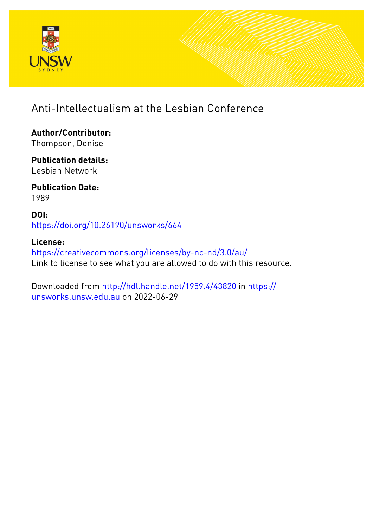

## Anti-Intellectualism at the Lesbian Conference

**Author/Contributor:** Thompson, Denise

**Publication details:** Lesbian Network

**Publication Date:** 1989

**DOI:** [https://doi.org/10.26190/unsworks/664](http://dx.doi.org/https://doi.org/10.26190/unsworks/664)

**License:** <https://creativecommons.org/licenses/by-nc-nd/3.0/au/> Link to license to see what you are allowed to do with this resource.

Downloaded from <http://hdl.handle.net/1959.4/43820> in [https://](https://unsworks.unsw.edu.au) [unsworks.unsw.edu.au](https://unsworks.unsw.edu.au) on 2022-06-29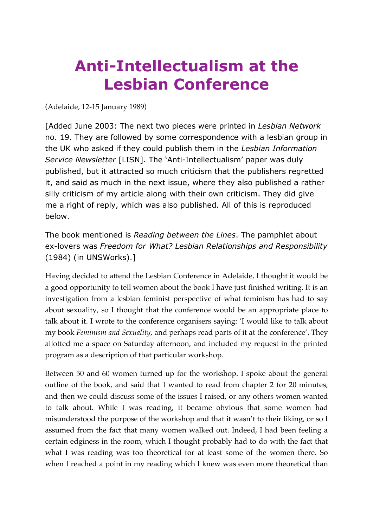# **Anti-Intellectualism at the Lesbian Conference**

(Adelaide, 12-15 January 1989)

[Added June 2003: The next two pieces were printed in *Lesbian Network* no. 19. They are followed by some correspondence with a lesbian group in the UK who asked if they could publish them in the *Lesbian Information Service Newsletter* [LISN]. The 'Anti-Intellectualism' paper was duly published, but it attracted so much criticism that the publishers regretted it, and said as much in the next issue, where they also published a rather silly criticism of my article along with their own criticism. They did give me a right of reply, which was also published. All of this is reproduced below.

The book mentioned is *Reading between the Lines*. The pamphlet about ex-lovers was *Freedom for What? Lesbian Relationships and Responsibility* (1984) (in UNSWorks).]

Having decided to attend the Lesbian Conference in Adelaide, I thought it would be a good opportunity to tell women about the book I have just finished writing. It is an investigation from a lesbian feminist perspective of what feminism has had to say about sexuality, so I thought that the conference would be an appropriate place to talk about it. I wrote to the conference organisers saying: 'I would like to talk about my book *Feminism and Sexuality*, and perhaps read parts of it at the conference'. They allotted me a space on Saturday afternoon, and included my request in the printed program as a description of that particular workshop.

Between 50 and 60 women turned up for the workshop. I spoke about the general outline of the book, and said that I wanted to read from chapter 2 for 20 minutes, and then we could discuss some of the issues I raised, or any others women wanted to talk about. While I was reading, it became obvious that some women had misunderstood the purpose of the workshop and that it wasn't to their liking, or so I assumed from the fact that many women walked out. Indeed, I had been feeling a certain edginess in the room, which I thought probably had to do with the fact that what I was reading was too theoretical for at least some of the women there. So when I reached a point in my reading which I knew was even more theoretical than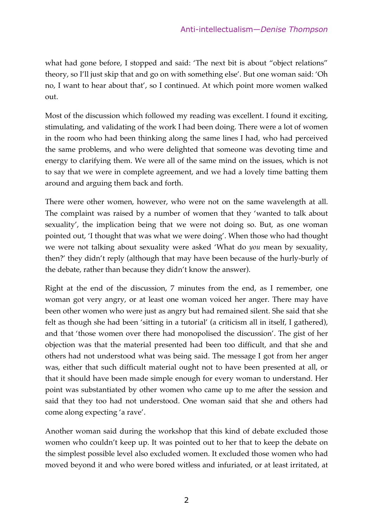what had gone before, I stopped and said: 'The next bit is about "object relations" theory, so I'll just skip that and go on with something else'. But one woman said: 'Oh no, I want to hear about that', so I continued. At which point more women walked out.

Most of the discussion which followed my reading was excellent. I found it exciting, stimulating, and validating of the work I had been doing. There were a lot of women in the room who had been thinking along the same lines I had, who had perceived the same problems, and who were delighted that someone was devoting time and energy to clarifying them. We were all of the same mind on the issues, which is not to say that we were in complete agreement, and we had a lovely time batting them around and arguing them back and forth.

There were other women, however, who were not on the same wavelength at all. The complaint was raised by a number of women that they 'wanted to talk about sexuality', the implication being that we were not doing so. But, as one woman pointed out, 'I thought that was what we were doing'. When those who had thought we were not talking about sexuality were asked 'What do *you* mean by sexuality, then?' they didn't reply (although that may have been because of the hurly-burly of the debate, rather than because they didn't know the answer).

Right at the end of the discussion, 7 minutes from the end, as I remember, one woman got very angry, or at least one woman voiced her anger. There may have been other women who were just as angry but had remained silent. She said that she felt as though she had been 'sitting in a tutorial' (a criticism all in itself, I gathered), and that 'those women over there had monopolised the discussion'. The gist of her objection was that the material presented had been too difficult, and that she and others had not understood what was being said. The message I got from her anger was, either that such difficult material ought not to have been presented at all, or that it should have been made simple enough for every woman to understand. Her point was substantiated by other women who came up to me after the session and said that they too had not understood. One woman said that she and others had come along expecting 'a rave'.

Another woman said during the workshop that this kind of debate excluded those women who couldn't keep up. It was pointed out to her that to keep the debate on the simplest possible level also excluded women. It excluded those women who had moved beyond it and who were bored witless and infuriated, or at least irritated, at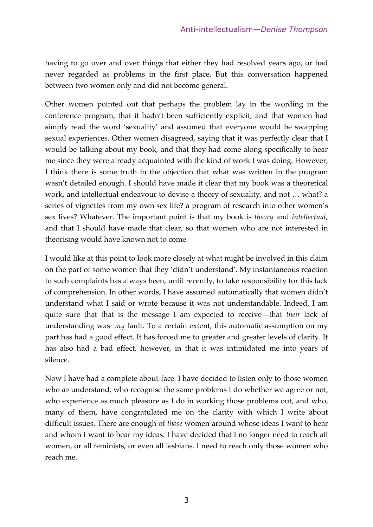having to go over and over things that either they had resolved years ago, or had never regarded as problems in the first place. But this conversation happened between two women only and did not become general.

Other women pointed out that perhaps the problem lay in the wording in the conference program, that it hadn't been sufficiently explicit, and that women had simply read the word 'sexuality' and assumed that everyone would be swapping sexual experiences. Other women disagreed, saying that it was perfectly clear that I would be talking about my book, and that they had come along specifically to hear me since they were already acquainted with the kind of work I was doing. However, I think there is some truth in the objection that what was written in the program wasn't detailed enough. I should have made it clear that my book was a theoretical work, and intellectual endeavour to devise a theory of sexuality, and not … what? a series of vignettes from my own sex life? a program of research into other women's sex lives? Whatever. The important point is that my book is *theory* and *intellectual*, and that I should have made that clear, so that women who are not interested in theorising would have known not to come.

I would like at this point to look more closely at what might be involved in this claim on the part of some women that they 'didn't understand'. My instantaneous reaction to such complaints has always been, until recently, to take responsibility for this lack of comprehension. In other words, I have assumed automatically that women didn't understand what I said or wrote because it was not understandable. Indeed, I am quite sure that that is the message I am expected to receive—that *their* lack of understanding was *my* fault. To a certain extent, this automatic assumption on my part has had a good effect. It has forced me to greater and greater levels of clarity. It has also had a bad effect, however, in that it was intimidated me into years of silence.

Now I have had a complete about-face. I have decided to listen only to those women who *do* understand, who recognise the same problems I do whether we agree or not, who experience as much pleasure as I do in working those problems out, and who, many of them, have congratulated me on the clarity with which I write about difficult issues. There are enough of *those* women around whose ideas I want to hear and whom I want to hear my ideas. I have decided that I no longer need to reach all women, or all feminists, or even all lesbians. I need to reach only those women who reach me.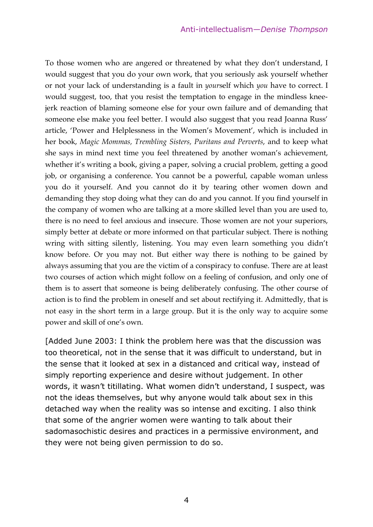To those women who are angered or threatened by what they don't understand, I would suggest that you do your own work, that you seriously ask yourself whether or not your lack of understanding is a fault in *your*self which *you* have to correct. I would suggest, too, that you resist the temptation to engage in the mindless kneejerk reaction of blaming someone else for your own failure and of demanding that someone else make you feel better. I would also suggest that you read Joanna Russ' article, 'Power and Helplessness in the Women's Movement', which is included in her book, *Magic Mommas, Trembling Sisters, Puritans and Perverts*, and to keep what she says in mind next time you feel threatened by another woman's achievement, whether it's writing a book, giving a paper, solving a crucial problem, getting a good job, or organising a conference. You cannot be a powerful, capable woman unless you do it yourself. And you cannot do it by tearing other women down and demanding they stop doing what they can do and you cannot. If you find yourself in the company of women who are talking at a more skilled level than you are used to, there is no need to feel anxious and insecure. Those women are not your superiors, simply better at debate or more informed on that particular subject. There is nothing wring with sitting silently, listening. You may even learn something you didn't know before. Or you may not. But either way there is nothing to be gained by always assuming that you are the victim of a conspiracy to confuse. There are at least two courses of action which might follow on a feeling of confusion, and only one of them is to assert that someone is being deliberately confusing. The other course of action is to find the problem in oneself and set about rectifying it. Admittedly, that is not easy in the short term in a large group. But it is the only way to acquire some power and skill of one's own.

[Added June 2003: I think the problem here was that the discussion was too theoretical, not in the sense that it was difficult to understand, but in the sense that it looked at sex in a distanced and critical way, instead of simply reporting experience and desire without judgement. In other words, it wasn't titillating. What women didn't understand, I suspect, was not the ideas themselves, but why anyone would talk about sex in this detached way when the reality was so intense and exciting. I also think that some of the angrier women were wanting to talk about their sadomasochistic desires and practices in a permissive environment, and they were not being given permission to do so.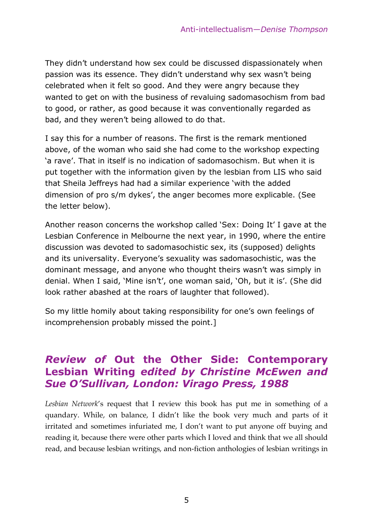They didn't understand how sex could be discussed dispassionately when passion was its essence. They didn't understand why sex wasn't being celebrated when it felt so good. And they were angry because they wanted to get on with the business of revaluing sadomasochism from bad to good, or rather, as good because it was conventionally regarded as bad, and they weren't being allowed to do that.

I say this for a number of reasons. The first is the remark mentioned above, of the woman who said she had come to the workshop expecting 'a rave'. That in itself is no indication of sadomasochism. But when it is put together with the information given by the lesbian from LIS who said that Sheila Jeffreys had had a similar experience 'with the added dimension of pro s/m dykes', the anger becomes more explicable. (See the letter below).

Another reason concerns the workshop called 'Sex: Doing It' I gave at the Lesbian Conference in Melbourne the next year, in 1990, where the entire discussion was devoted to sadomasochistic sex, its (supposed) delights and its universality. Everyone's sexuality was sadomasochistic, was the dominant message, and anyone who thought theirs wasn't was simply in denial. When I said, 'Mine isn't', one woman said, 'Oh, but it is'. (She did look rather abashed at the roars of laughter that followed).

So my little homily about taking responsibility for one's own feelings of incomprehension probably missed the point.]

#### *Review of* **Out the Other Side: Contemporary Lesbian Writing** *edited by Christine McEwen and Sue O'Sullivan, London: Virago Press, 1988*

*Lesbian Network*'s request that I review this book has put me in something of a quandary. While, on balance, I didn't like the book very much and parts of it irritated and sometimes infuriated me, I don't want to put anyone off buying and reading it, because there were other parts which I loved and think that we all should read, and because lesbian writings, and non-fiction anthologies of lesbian writings in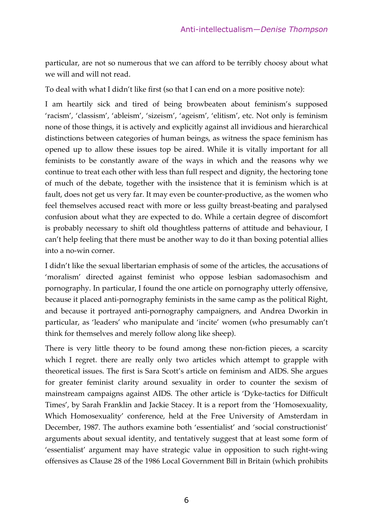particular, are not so numerous that we can afford to be terribly choosy about what we will and will not read.

To deal with what I didn't like first (so that I can end on a more positive note):

I am heartily sick and tired of being browbeaten about feminism's supposed 'racism', 'classism', 'ableism', 'sizeism', 'ageism', 'elitism', etc. Not only is feminism none of those things, it is actively and explicitly against all invidious and hierarchical distinctions between categories of human beings, as witness the space feminism has opened up to allow these issues top be aired. While it is vitally important for all feminists to be constantly aware of the ways in which and the reasons why we continue to treat each other with less than full respect and dignity, the hectoring tone of much of the debate, together with the insistence that it is feminism which is at fault, does not get us very far. It may even be counter-productive, as the women who feel themselves accused react with more or less guilty breast-beating and paralysed confusion about what they are expected to do. While a certain degree of discomfort is probably necessary to shift old thoughtless patterns of attitude and behaviour, I can't help feeling that there must be another way to do it than boxing potential allies into a no-win corner.

I didn't like the sexual libertarian emphasis of some of the articles, the accusations of 'moralism' directed against feminist who oppose lesbian sadomasochism and pornography. In particular, I found the one article on pornography utterly offensive, because it placed anti-pornography feminists in the same camp as the political Right, and because it portrayed anti-pornography campaigners, and Andrea Dworkin in particular, as 'leaders' who manipulate and 'incite' women (who presumably can't think for themselves and merely follow along like sheep).

There is very little theory to be found among these non-fiction pieces, a scarcity which I regret. there are really only two articles which attempt to grapple with theoretical issues. The first is Sara Scott's article on feminism and AIDS. She argues for greater feminist clarity around sexuality in order to counter the sexism of mainstream campaigns against AIDS. The other article is 'Dyke-tactics for Difficult Times', by Sarah Franklin and Jackie Stacey. It is a report from the 'Homosexuality, Which Homosexuality' conference, held at the Free University of Amsterdam in December, 1987. The authors examine both 'essentialist' and 'social constructionist' arguments about sexual identity, and tentatively suggest that at least some form of 'essentialist' argument may have strategic value in opposition to such right-wing offensives as Clause 28 of the 1986 Local Government Bill in Britain (which prohibits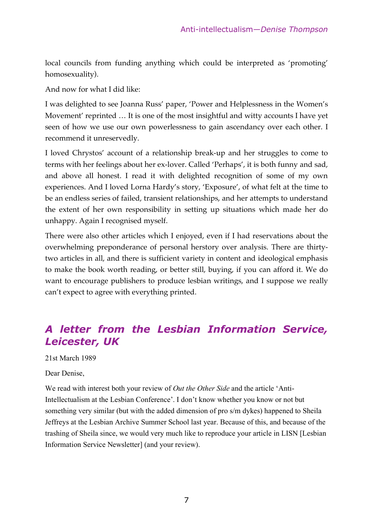local councils from funding anything which could be interpreted as 'promoting' homosexuality).

And now for what I did like:

I was delighted to see Joanna Russ' paper, 'Power and Helplessness in the Women's Movement' reprinted … It is one of the most insightful and witty accounts I have yet seen of how we use our own powerlessness to gain ascendancy over each other. I recommend it unreservedly.

I loved Chrystos' account of a relationship break-up and her struggles to come to terms with her feelings about her ex-lover. Called 'Perhaps', it is both funny and sad, and above all honest. I read it with delighted recognition of some of my own experiences. And I loved Lorna Hardy's story, 'Exposure', of what felt at the time to be an endless series of failed, transient relationships, and her attempts to understand the extent of her own responsibility in setting up situations which made her do unhappy. Again I recognised myself.

There were also other articles which I enjoyed, even if I had reservations about the overwhelming preponderance of personal herstory over analysis. There are thirtytwo articles in all, and there is sufficient variety in content and ideological emphasis to make the book worth reading, or better still, buying, if you can afford it. We do want to encourage publishers to produce lesbian writings, and I suppose we really can't expect to agree with everything printed.

### *A letter from the Lesbian Information Service, Leicester, UK*

#### 21st March 1989

#### Dear Denise,

We read with interest both your review of *Out the Other Side* and the article 'Anti-Intellectualism at the Lesbian Conference'. I don't know whether you know or not but something very similar (but with the added dimension of pro s/m dykes) happened to Sheila Jeffreys at the Lesbian Archive Summer School last year. Because of this, and because of the trashing of Sheila since, we would very much like to reproduce your article in LISN [Lesbian Information Service Newsletter] (and your review).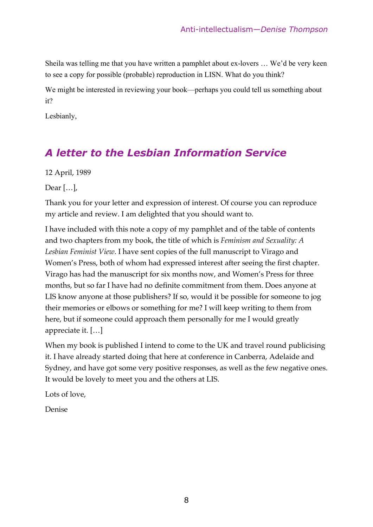Sheila was telling me that you have written a pamphlet about ex-lovers … We'd be very keen to see a copy for possible (probable) reproduction in LISN. What do you think?

We might be interested in reviewing your book—perhaps you could tell us something about it?

Lesbianly,

### *A letter to the Lesbian Information Service*

12 April, 1989

Dear […],

Thank you for your letter and expression of interest. Of course you can reproduce my article and review. I am delighted that you should want to.

I have included with this note a copy of my pamphlet and of the table of contents and two chapters from my book, the title of which is *Feminism and Sexuality: A Lesbian Feminist View*. I have sent copies of the full manuscript to Virago and Women's Press, both of whom had expressed interest after seeing the first chapter. Virago has had the manuscript for six months now, and Women's Press for three months, but so far I have had no definite commitment from them. Does anyone at LIS know anyone at those publishers? If so, would it be possible for someone to jog their memories or elbows or something for me? I will keep writing to them from here, but if someone could approach them personally for me I would greatly appreciate it. […]

When my book is published I intend to come to the UK and travel round publicising it. I have already started doing that here at conference in Canberra, Adelaide and Sydney, and have got some very positive responses, as well as the few negative ones. It would be lovely to meet you and the others at LIS.

Lots of love,

Denise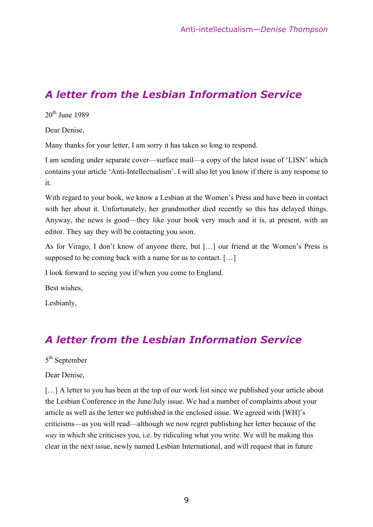#### *A letter from the Lesbian Information Service*

 $20<sup>th</sup>$  June 1989

Dear Denise,

Many thanks for your letter, I am sorry it has taken so long to respond.

I am sending under separate cover—surface mail—a copy of the latest issue of 'LISN' which contains your article 'Anti-Intellectualism'. I will also let you know if there is any response to it.

With regard to your book, we know a Lesbian at the Women's Press and have been in contact with her about it. Unfortunately, her grandmother died recently so this has delayed things. Anyway, the news is good—they like your book very much and it is, at present, with an editor. They say they will be contacting you soon.

As for Virago, I don't know of anyone there, but […] our friend at the Women's Press is supposed to be coming back with a name for us to contact. […]

I look forward to seeing you if/when you come to England.

Best wishes,

Lesbianly,

### *A letter from the Lesbian Information Service*

#### 5<sup>th</sup> September

Dear Denise,

[...] A letter to you has been at the top of our work list since we published your article about the Lesbian Conference in the June/July issue. We had a number of complaints about your article as well as the letter we published in the enclosed issue. We agreed with [WH]'s criticisms—as you will read—although we now regret publishing her letter because of the *way* in which she criticises you, i.e. by ridiculing what you write. We will be making this clear in the next issue, newly named Lesbian International, and will request that in future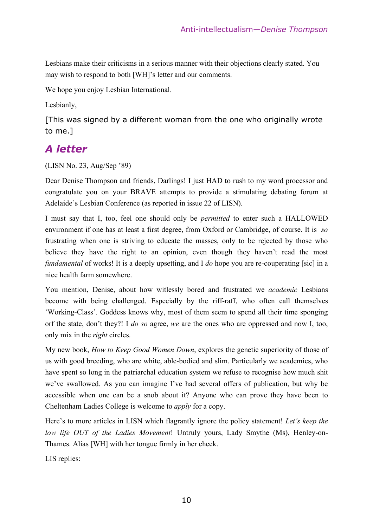Lesbians make their criticisms in a serious manner with their objections clearly stated. You may wish to respond to both [WH]'s letter and our comments.

We hope you enjoy Lesbian International.

Lesbianly,

[This was signed by a different woman from the one who originally wrote to me.]

#### *A letter*

(LISN No. 23, Aug/Sep '89)

Dear Denise Thompson and friends, Darlings! I just HAD to rush to my word processor and congratulate you on your BRAVE attempts to provide a stimulating debating forum at Adelaide's Lesbian Conference (as reported in issue 22 of LISN).

I must say that I, too, feel one should only be *permitted* to enter such a HALLOWED environment if one has at least a first degree, from Oxford or Cambridge, of course. It is *so* frustrating when one is striving to educate the masses, only to be rejected by those who believe they have the right to an opinion, even though they haven't read the most *fundamental* of works! It is a deeply upsetting, and I *do* hope you are re-couperating [sic] in a nice health farm somewhere.

You mention, Denise, about how witlessly bored and frustrated we *academic* Lesbians become with being challenged. Especially by the riff-raff, who often call themselves 'Working-Class'. Goddess knows why, most of them seem to spend all their time sponging orf the state, don't they?! I *do so* agree, *we* are the ones who are oppressed and now I, too, only mix in the *right* circles.

My new book, *How to Keep Good Women Down*, explores the genetic superiority of those of us with good breeding, who are white, able-bodied and slim. Particularly we academics, who have spent so long in the patriarchal education system we refuse to recognise how much shit we've swallowed. As you can imagine I've had several offers of publication, but why be accessible when one can be a snob about it? Anyone who can prove they have been to Cheltenham Ladies College is welcome to *apply* for a copy.

Here's to more articles in LISN which flagrantly ignore the policy statement! *Let's keep the low life OUT of the Ladies Movement*! Untruly yours, Lady Smythe (Ms), Henley-on-Thames. Alias [WH] with her tongue firmly in her cheek.

LIS replies: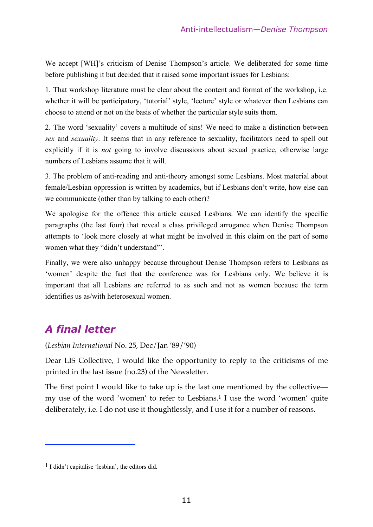We accept [WH]'s criticism of Denise Thompson's article. We deliberated for some time before publishing it but decided that it raised some important issues for Lesbians:

1. That workshop literature must be clear about the content and format of the workshop, i.e. whether it will be participatory, 'tutorial' style, 'lecture' style or whatever then Lesbians can choose to attend or not on the basis of whether the particular style suits them.

2. The word 'sexuality' covers a multitude of sins! We need to make a distinction between *sex* and *sexuality*. It seems that in any reference to sexuality, facilitators need to spell out explicitly if it is *not* going to involve discussions about sexual practice, otherwise large numbers of Lesbians assume that it will.

3. The problem of anti-reading and anti-theory amongst some Lesbians. Most material about female/Lesbian oppression is written by academics, but if Lesbians don't write, how else can we communicate (other than by talking to each other)?

We apologise for the offence this article caused Lesbians. We can identify the specific paragraphs (the last four) that reveal a class privileged arrogance when Denise Thompson attempts to 'look more closely at what might be involved in this claim on the part of some women what they "didn't understand"'.

Finally, we were also unhappy because throughout Denise Thompson refers to Lesbians as 'women' despite the fact that the conference was for Lesbians only. We believe it is important that all Lesbians are referred to as such and not as women because the term identifies us as/with heterosexual women.

### *A final letter*

1

(*Lesbian International* No. 25, Dec/Jan '89/'90)

Dear LIS Collective, I would like the opportunity to reply to the criticisms of me printed in the last issue (no.23) of the Newsletter.

The first point I would like to take up is the last one mentioned by the collective my use of the word 'women' to refer to Lesbians.<sup>1</sup> I use the word 'women' quite deliberately, i.e. I do not use it thoughtlessly, and I use it for a number of reasons.

<sup>1</sup> I didn't capitalise 'lesbian', the editors did.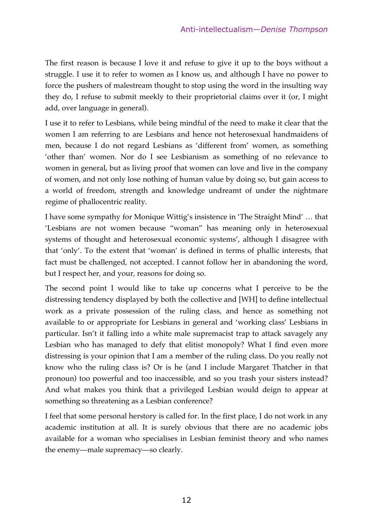The first reason is because I love it and refuse to give it up to the boys without a struggle. I use it to refer to women as I know us, and although I have no power to force the pushers of malestream thought to stop using the word in the insulting way they do, I refuse to submit meekly to their proprietorial claims over it (or, I might add, over language in general).

I use it to refer to Lesbians, while being mindful of the need to make it clear that the women I am referring to are Lesbians and hence not heterosexual handmaidens of men, because I do not regard Lesbians as 'different from' women, as something 'other than' women. Nor do I see Lesbianism as something of no relevance to women in general, but as living proof that women can love and live in the company of women, and not only lose nothing of human value by doing so, but gain access to a world of freedom, strength and knowledge undreamt of under the nightmare regime of phallocentric reality.

I have some sympathy for Monique Wittig's insistence in 'The Straight Mind' … that 'Lesbians are not women because "woman" has meaning only in heterosexual systems of thought and heterosexual economic systems', although I disagree with that 'only'. To the extent that 'woman' is defined in terms of phallic interests, that fact must be challenged, not accepted. I cannot follow her in abandoning the word, but I respect her, and your, reasons for doing so.

The second point I would like to take up concerns what I perceive to be the distressing tendency displayed by both the collective and [WH] to define intellectual work as a private possession of the ruling class, and hence as something not available to or appropriate for Lesbians in general and 'working class' Lesbians in particular. Isn't it falling into a white male supremacist trap to attack savagely any Lesbian who has managed to defy that elitist monopoly? What I find even more distressing is your opinion that I am a member of the ruling class. Do you really not know who the ruling class is? Or is he (and I include Margaret Thatcher in that pronoun) too powerful and too inaccessible, and so you trash your sisters instead? And what makes you think that a privileged Lesbian would deign to appear at something so threatening as a Lesbian conference?

I feel that some personal herstory is called for. In the first place, I do not work in any academic institution at all. It is surely obvious that there are no academic jobs available for a woman who specialises in Lesbian feminist theory and who names the enemy—male supremacy—so clearly.